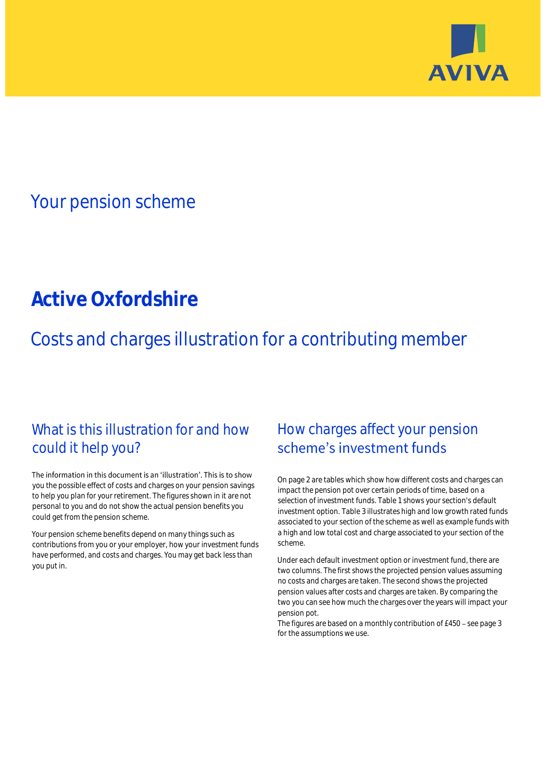

# Your pension scheme

# **Active Oxfordshire**

Costs and charges illustration for a contributing member

## What is this illustration for and how could it help you?

#### The information in this document is an 'illustration'. This is to show you the possible effect of costs and charges on your pension savings to help you plan for your retirement. The figures shown in it are not personal to you and do not show the actual pension benefits you could get from the pension scheme.

Your pension scheme benefits depend on many things such as contributions from you or your employer, how your investment funds have performed, and costs and charges. You may get back less than you put in.

## How charges affect your pension scheme's investment funds

On page 2 are tables which show how different costs and charges can impact the pension pot over certain periods of time, based on a selection of investment funds. Table 1 shows your section's default investment option. Table 3 illustrates high and low growth rated funds associated to your section of the scheme as well as example funds with a high and low total cost and charge associated to your section of the scheme.

Under each default investment option or investment fund, there are two columns. The first shows the projected pension values assuming no costs and charges are taken. The second shows the projected pension values after costs and charges are taken. By comparing the two you can see how much the charges over the years will impact your pension pot.

The figures are based on a monthly contribution of  $£450 -$  see page 3 for the assumptions we use.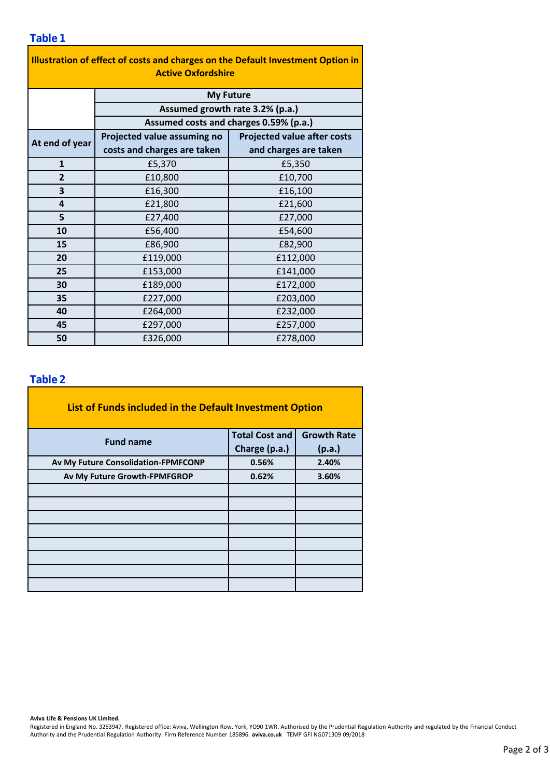| Illustration of effect of costs and charges on the Default Investment Option in<br><b>Active Oxfordshire</b> |                                                                           |                                    |  |  |  |  |
|--------------------------------------------------------------------------------------------------------------|---------------------------------------------------------------------------|------------------------------------|--|--|--|--|
|                                                                                                              | <b>My Future</b>                                                          |                                    |  |  |  |  |
|                                                                                                              | Assumed growth rate 3.2% (p.a.)<br>Assumed costs and charges 0.59% (p.a.) |                                    |  |  |  |  |
|                                                                                                              |                                                                           |                                    |  |  |  |  |
| At end of year                                                                                               | Projected value assuming no                                               | <b>Projected value after costs</b> |  |  |  |  |
|                                                                                                              | costs and charges are taken                                               | and charges are taken              |  |  |  |  |
| $\mathbf{1}$                                                                                                 | £5,370                                                                    | £5,350                             |  |  |  |  |
| $\overline{2}$                                                                                               | £10,800                                                                   | £10,700                            |  |  |  |  |
| 3                                                                                                            | £16,300                                                                   | £16,100                            |  |  |  |  |
| 4                                                                                                            | £21,800                                                                   | £21,600                            |  |  |  |  |
| 5                                                                                                            | £27,400                                                                   | £27,000                            |  |  |  |  |
| 10                                                                                                           | £56,400                                                                   | £54,600                            |  |  |  |  |
| 15                                                                                                           | £86,900                                                                   | £82,900                            |  |  |  |  |
| 20                                                                                                           | £119,000                                                                  | £112,000                           |  |  |  |  |
| 25                                                                                                           | £153,000                                                                  | £141,000                           |  |  |  |  |
| 30                                                                                                           | £189,000                                                                  | £172,000                           |  |  |  |  |
| 35                                                                                                           | £227,000                                                                  | £203,000                           |  |  |  |  |
| 40                                                                                                           | £264,000                                                                  | £232,000                           |  |  |  |  |
| 45                                                                                                           | £297,000                                                                  | £257,000                           |  |  |  |  |
| 50                                                                                                           | £326,000                                                                  | £278,000                           |  |  |  |  |

### **Table 2**

| List of Funds included in the Default Investment Option |                       |                    |
|---------------------------------------------------------|-----------------------|--------------------|
| <b>Fund name</b>                                        | <b>Total Cost and</b> | <b>Growth Rate</b> |
|                                                         | Charge (p.a.)         | (p.a.)             |
| Av My Future Consolidation-FPMFCONP                     | 0.56%                 | 2.40%              |
| Av My Future Growth-FPMFGROP                            | 0.62%                 | 3.60%              |
|                                                         |                       |                    |
|                                                         |                       |                    |
|                                                         |                       |                    |
|                                                         |                       |                    |
|                                                         |                       |                    |
|                                                         |                       |                    |
|                                                         |                       |                    |
|                                                         |                       |                    |

#### **Aviva Life & Pensions UK Limited.**

Registered in England No. 3253947. Registered office: Aviva, Wellington Row, York, YO90 1WR. Authorised by the Prudential Regulation Authority and regulated by the Financial Conduct Authority and the Prudential Regulation Authority. Firm Reference Number 185896. **aviva.co.uk** TEMP GFI NG071309 09/2018